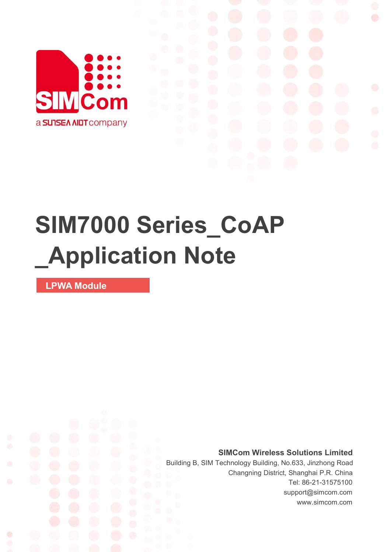

## **SIM7000 Series\_CoAP \_Application Note**

**LPWA Module**

Ø

**SIMCom Wireless Solutions Limited**

Building B, SIM Technology Building, No.633, Jinzhong Road Changning District, Shanghai P.R. China Tel: 86-21-31575100 support@simcom.com www.simcom.com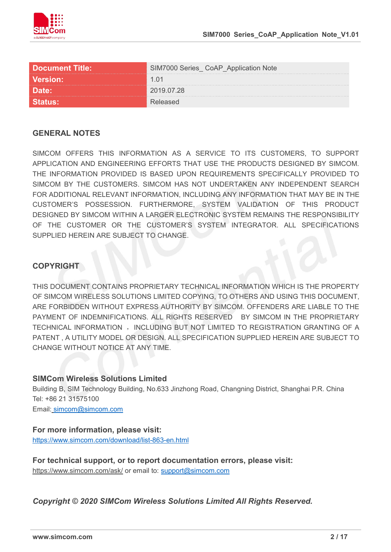

| <b>Document Title:</b> | CoAP_Application Note<br>M7000 Series |
|------------------------|---------------------------------------|
| <b>Version:</b>        |                                       |
| $\sqrt{5}$             | 'በ19 በ7 28                            |
|                        |                                       |

#### **GENERAL NOTES**

SIMCOM OFFERS THIS INFORMATION AS A SERVICE TO ITS CUSTOMERS. TO SUPPORT APPLICATION AND ENGINEERING EFFORTS THAT USE THE PRODUCTS DESIGNED BY SIMCOM. THE INFORMATION PROVIDED IS BASED UPON REQUIREMENTS SPECIFICALLY PROVIDED TO SIMCOM BY THE CUSTOMERS. SIMCOM HAS NOT UNDERTAKEN ANY INDEPENDENT SEARCH FOR ADDITIONAL RELEVANT INFORMATION, INCLUDING ANY INFORMATION THAT MAY BE IN THE CUSTOMER'S POSSESSION. FURTHERMORE, SYSTEM VALIDATION OF THIS PRODUCT DESIGNED BY SIMCOM WITHIN A LARGER ELECTRONIC SYSTEM REMAINS THE RESPONSIBILITY OF THE CUSTOMER OR THE CUSTOMER'S SYSTEM INTEGRATOR. ALL SPECIFICATIONS SUPPLIED HEREIN ARE SUBJECT TO CHANGE.

#### **COPYRIGHT**

THIS DOCUMENT CONTAINS PROPRIETARY TECHNICAL INFORMATION WHICH IS THE PROPERTY OF SIMCOM WIRELESS SOLUTIONS LIMITED COPYING, TO OTHERS AND USING THIS DOCUMENT, ARE FORBIDDEN WITHOUT EXPRESS AUTHORITY BY SIMCOM. OFFENDERS ARE LIABLE TO THE PAYMENT OF INDEMNIFICATIONS. ALL RIGHTS RESERVED BY SIMCOM IN THE PROPRIETARY TECHNICAL INFORMATION , INCLUDING BUT NOT LIMITED TO REGISTRATION GRANTING OF A PATENT , A UTILITY MODEL OR DESIGN. ALL SPECIFICATION SUPPLIED HEREIN ARE SUBJECT TO CHANGE WITHOUT NOTICE AT ANY TIME.

#### **SIMCom Wireless Solutions Limited**

Building B, SIM Technology Building, No.633 Jinzhong Road, Changning District, Shanghai P.R. China Tel: +86 21 31575100

Email: [simcom@simcom.com](mailto:simcom@simcom.com)

#### **For more information, please visit:**

<https://www.simcom.com/download/list-863-en.html>

**For technical support, or to report documentation errors, please visit:** https://www.simcom.com/ask/ or email to: [support@simcom.com](mailto:support@simcom.com)

*Copyright © 2020 SIMCom Wireless Solutions Limited All Rights Reserved.*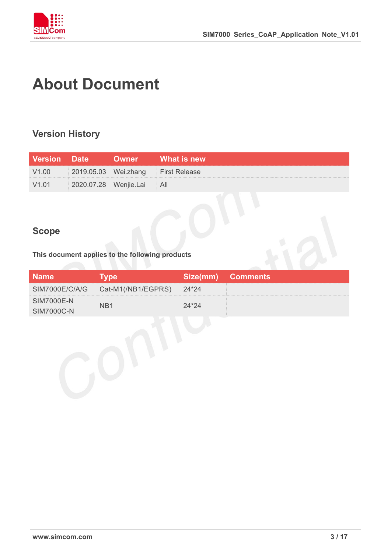

## <span id="page-2-0"></span>**About Document**

## <span id="page-2-1"></span>**Version History**

| <b>Version Date</b> |                           | <b>Owner</b> What is new           |
|---------------------|---------------------------|------------------------------------|
| V1.00               |                           | 2019.05.03 Wei.zhang First Release |
| V1.01               | 2020.07.28 Wenjie.Lai All |                                    |

## <span id="page-2-2"></span>**Scope**

**This document applies to the following products**

| <b>Name</b>                            | <b>vpe</b>         | Size(mm) | <b>Comments</b> |
|----------------------------------------|--------------------|----------|-----------------|
| SIM7000E/C/A/G                         | Cat-M1(/NB1/EGPRS) | 24*24    |                 |
| <b>SIM7000E-N</b><br><b>SIM7000C-N</b> | NB1                | $24*24$  |                 |
|                                        |                    |          |                 |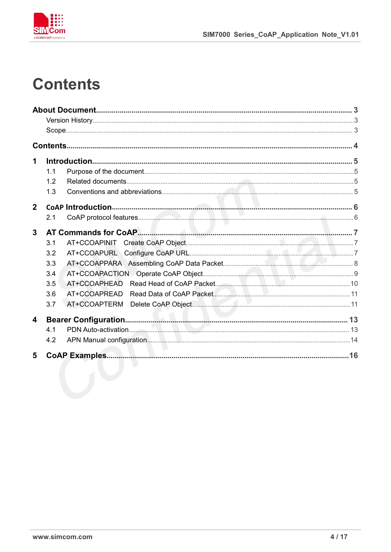

## <span id="page-3-0"></span>**Contents**

| 1                       |     |                           |  |
|-------------------------|-----|---------------------------|--|
|                         | 1.1 |                           |  |
|                         | 1.2 |                           |  |
|                         | 1.3 |                           |  |
| $\mathbf 2$             |     |                           |  |
|                         | 2.1 |                           |  |
| $\overline{\mathbf{3}}$ |     |                           |  |
|                         | 3.1 |                           |  |
|                         | 3.2 |                           |  |
|                         | 3.3 |                           |  |
|                         | 3.4 |                           |  |
|                         | 3.5 |                           |  |
|                         | 3.6 |                           |  |
|                         | 3.7 |                           |  |
| 4                       |     |                           |  |
|                         | 4.1 |                           |  |
|                         | 4.2 | APN Manual configuration. |  |
| 5                       |     |                           |  |
|                         |     |                           |  |
|                         |     |                           |  |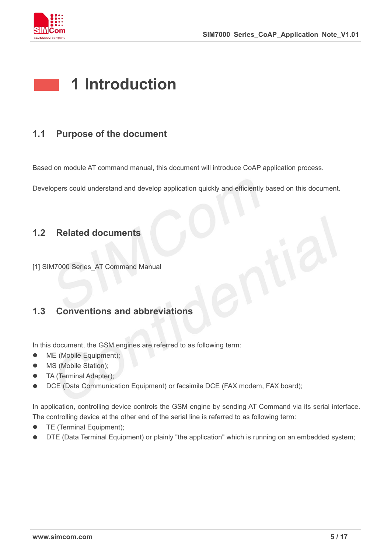

## <span id="page-4-0"></span>**1 Introduction**

## <span id="page-4-1"></span>**1.1 Purpose of the document**

Based on module AT command manual, this document will introduce CoAP application process.

Developers could understand and develop application quickly and efficiently based on this document.

### <span id="page-4-2"></span>**1.2 Related documents**

[1] SIM7000 Series AT Command Manual

## <span id="page-4-3"></span>**1.3 Conventions and abbreviations**

In this document, the GSM engines are referred to as following term:

- ME (Mobile Equipment);
- MS (Mobile Station);
- TA (Terminal Adapter);
- DCE (Data Communication Equipment) or facsimile DCE (FAX modem, FAX board);

In application, controlling device controls the GSM engine by sending AT Command via its serial interface. The controlling device at the other end of the serial line is referred to as following term:

- **•** TE (Terminal Equipment);
- DTE (Data Terminal Equipment) or plainly "the application" which is running on an embedded system;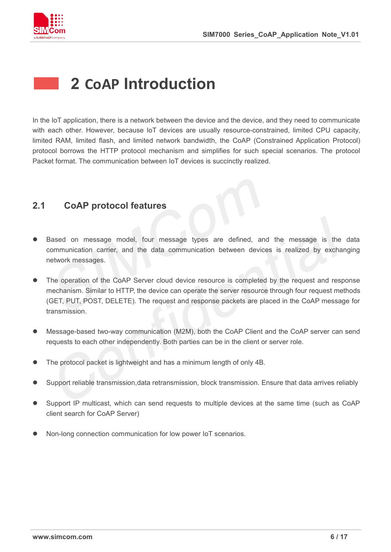

## <span id="page-5-0"></span>**2 CoAP Introduction**

In the IoT application, there is a network between the device and the device, and they need to communicate with each other. However, because IoT devices are usually resource-constrained, limited CPU capacity, limited RAM, limited flash, and limited network bandwidth, the CoAP (Constrained Application Protocol) protocol borrows the HTTP protocol mechanism and simplifies for such special scenarios. The protocol Packet format. The communication between IoT devices is succinctly realized.

### <span id="page-5-1"></span>**2.1 CoAP protocol features**

- Based on message model, four message types are defined, and the message is the data communication carrier, and the data communication between devices is realized by exchanging network messages.
- The operation of the CoAP Server cloud device resource is completed by the request and response mechanism. Similar to HTTP, the device can operate the server resource through four request methods (GET, PUT, POST, DELETE). The request and response packets are placed in the CoAP message for transmission.
- Message-based two-way communication (M2M), both the CoAP Client and the CoAP server can send requests to each other independently. Both parties can be in the client or server role.
- The protocol packet is lightweight and has a minimum length of only 4B.
- Support reliable transmission,data retransmission, block transmission. Ensure that data arrives reliably
- Support IP multicast, which can send requests to multiple devices at the same time (such as CoAP client search for CoAP Server)
- Non-long connection communication for low power IoT scenarios.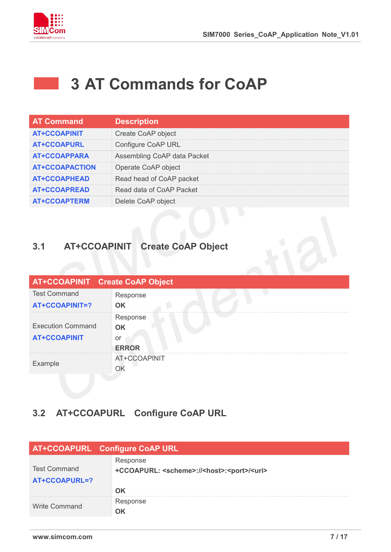

 $\sim 10^{-1}$ 

## <span id="page-6-0"></span>**3 AT Commands for CoAP**

| <b>AT Command</b>     | <b>Description</b>          |
|-----------------------|-----------------------------|
| <b>AT+CCOAPINIT</b>   | Create CoAP object          |
| <b>AT+CCOAPURL</b>    | Configure CoAP URL          |
| <b>AT+CCOAPPARA</b>   | Assembling CoAP data Packet |
| <b>AT+CCOAPACTION</b> | Operate CoAP object         |
| <b>AT+CCOAPHEAD</b>   | Read head of CoAP packet    |
| <b>AT+CCOAPREAD</b>   | Read data of CoAP Packet    |
| <b>AT+CCOAPTERM</b>   | Delete CoAP object          |

## <span id="page-6-1"></span>**3.1 AT+CCOAPINIT Create CoAP Object**

| <b>AT+CCOAPINIT Create CoAP Object</b> |                    |
|----------------------------------------|--------------------|
| <b>Test Command</b>                    | Response           |
| <b>AT+CCOAPINIT=?</b>                  | <b>OK</b>          |
|                                        | Response           |
| <b>Execution Command</b>               | $\triangleleft$ OK |
| <b>AT+CCOAPINIT</b>                    | or                 |
|                                        | <b>ERROR</b>       |
| Example                                | AT+CCOAPINIT       |
|                                        |                    |

## <span id="page-6-2"></span>**3.2 AT+CCOAPURL Configure CoAP URL**

|                                      | AT+CCOAPURL Configure CoAP URL                                                     |
|--------------------------------------|------------------------------------------------------------------------------------|
| <b>Test Command</b><br>AT+CCOAPURL=? | Response<br>+CCOAPURL: <scheme>://<host>:<port>/<uri></uri></port></host></scheme> |
|                                      | nĸ                                                                                 |
| <b>Write Command</b>                 | Response                                                                           |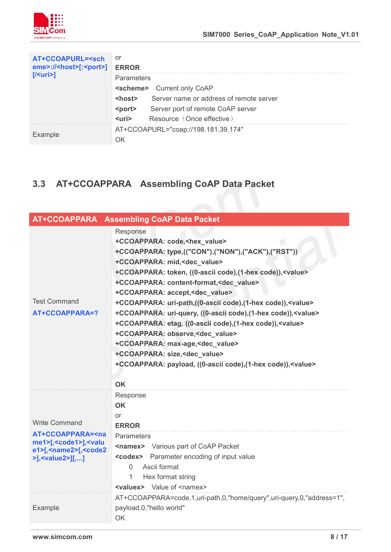

| AT+CCOAPURL= <sch<br>eme&gt;://<host>[:<port>]</port></host></sch<br> | or<br><b>ERROR</b>                                       |  |
|-----------------------------------------------------------------------|----------------------------------------------------------|--|
| $\sqrt{\frac{1}{2}}$                                                  | <b>Parameters</b>                                        |  |
|                                                                       | <scheme> Current only CoAP</scheme>                      |  |
|                                                                       | Server name or address of remote server<br><host></host> |  |
|                                                                       | <port> Server port of remote CoAP server</port>          |  |
|                                                                       | Resource (Once effective)<br>$\langle$ uri $\rangle$     |  |
|                                                                       | AT+CCOAPURL="coap://198.181.39.174"                      |  |
| Example                                                               |                                                          |  |

## <span id="page-7-0"></span>**3.3 AT+CCOAPPARA Assembling CoAP Data Packet**

|                                                                                                                                                                             | AT+CCOAPPARA Assembling CoAP Data Packet                                                                                                                                                                                                                                                                                                                                                                                                                                                                                                                                                                                                                                                                                                                                                |
|-----------------------------------------------------------------------------------------------------------------------------------------------------------------------------|-----------------------------------------------------------------------------------------------------------------------------------------------------------------------------------------------------------------------------------------------------------------------------------------------------------------------------------------------------------------------------------------------------------------------------------------------------------------------------------------------------------------------------------------------------------------------------------------------------------------------------------------------------------------------------------------------------------------------------------------------------------------------------------------|
| <b>Test Command</b><br>AT+CCOAPPARA=?                                                                                                                                       | Response<br>+CCOAPPARA: code, <hex value=""><br/>+CCOAPPARA: type,(("CON"),("NON"),("ACK"),("RST"))<br/>+CCOAPPARA: mid,<dec_value><br/>+CCOAPPARA: token, ((0-ascii code), (1-hex code)), <value><br/>+CCOAPPARA: content-format,<dec value=""><br/>+CCOAPPARA: accept,<dec_value><br/>+CCOAPPARA: uri-path,((0-ascii code),(1-hex code)),<value><br/>+CCOAPPARA: uri-query, ((0-ascii code), (1-hex code)), <value><br/>+CCOAPPARA: etag, ((0-ascii code), (1-hex code)), <value><br/>+CCOAPPARA: observe, &lt; dec_value&gt;<br/>+CCOAPPARA: max-age,<dec_value><br/>+CCOAPPARA: size,<dec_value><br/>+CCOAPPARA: payload, ((0-ascii code), (1-hex code)), <value><br/><b>OK</b></value></dec_value></dec_value></value></value></value></dec_value></dec></value></dec_value></hex> |
| <b>Write Command</b><br>AT+CCOAPPARA= <na<br>me1&gt;[,<code1>],<valu<br>e1&gt;[,<name2>[,<code2<br>&gt;],<value2>][,]</value2></code2<br></name2></valu<br></code1></na<br> | Response<br><b>OK</b><br>or<br><b>ERROR</b><br>Parameters<br><namex> Various part of CoAP Packet<br/><codex> Parameter encoding of input value<br/>Ascii format<br/><math>\Omega</math><br/>Hex format string<br/>1<br/><valuex> Value of <namex></namex></valuex></codex></namex>                                                                                                                                                                                                                                                                                                                                                                                                                                                                                                      |
| Example                                                                                                                                                                     | AT+CCOAPPARA=code,1,uri-path,0,"home/query",uri-query,0,"address=1",<br>payload, 0, "hello world"<br>OK                                                                                                                                                                                                                                                                                                                                                                                                                                                                                                                                                                                                                                                                                 |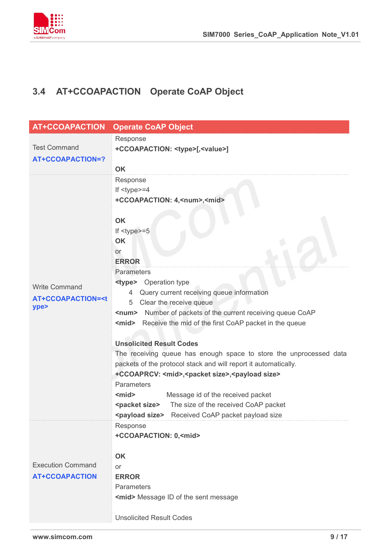

## <span id="page-8-0"></span>**3.4 AT+CCOAPACTION Operate CoAP Object**

| <b>AT+CCOAPACTION</b>                            | <b>Operate CoAP Object</b>                                                                  |
|--------------------------------------------------|---------------------------------------------------------------------------------------------|
|                                                  | Response                                                                                    |
| <b>Test Command</b>                              | +CCOAPACTION: <type>[,<value>]</value></type>                                               |
| <b>AT+CCOAPACTION=?</b>                          |                                                                                             |
|                                                  | <b>OK</b>                                                                                   |
|                                                  | Response                                                                                    |
|                                                  | If $<$ type $>=$ 4                                                                          |
|                                                  | +CCOAPACTION: 4, <num>,<mid></mid></num>                                                    |
|                                                  | <b>OK</b>                                                                                   |
|                                                  | If $<$ type $>=$ 5                                                                          |
|                                                  | OK                                                                                          |
|                                                  | or                                                                                          |
|                                                  | <b>ERROR</b>                                                                                |
|                                                  | Parameters                                                                                  |
| <b>Write Command</b>                             | <type> Operation type</type>                                                                |
|                                                  | 4 Query current receiving queue information                                                 |
| <b>AT+CCOAPACTION=<t< b=""><br/>ype&gt;</t<></b> | Clear the receive queue<br>5                                                                |
|                                                  | <num> Number of packets of the current receiving queue CoAP</num>                           |
|                                                  | <mid> Receive the mid of the first CoAP packet in the queue</mid>                           |
|                                                  |                                                                                             |
|                                                  | <b>Unsolicited Result Codes</b>                                                             |
|                                                  | The receiving queue has enough space to store the unprocessed data                          |
|                                                  | packets of the protocol stack and will report it automatically.                             |
|                                                  | +CCOAPRCV: <mid>,<packet size="">,<payload size=""><br/>Parameters</payload></packet></mid> |
|                                                  | <mid><br/>Message id of the received packet</mid>                                           |
|                                                  | The size of the received CoAP packet<br><packet size=""></packet>                           |
|                                                  | <payload size=""> Received CoAP packet payload size</payload>                               |
|                                                  | Response                                                                                    |
|                                                  | +CCOAPACTION: 0, <mid></mid>                                                                |
|                                                  |                                                                                             |
|                                                  | <b>OK</b>                                                                                   |
| <b>Execution Command</b>                         | or                                                                                          |
| <b>AT+CCOAPACTION</b>                            | <b>ERROR</b>                                                                                |
|                                                  | Parameters                                                                                  |
|                                                  | <mid> Message ID of the sent message</mid>                                                  |
|                                                  |                                                                                             |
|                                                  | <b>Unsolicited Result Codes</b>                                                             |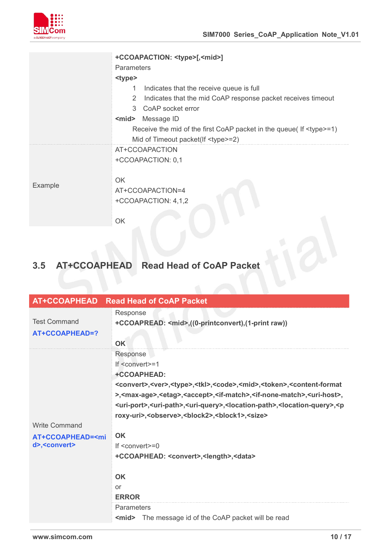

|         | +CCOAPACTION: <type>[,<mid>]</mid></type>                                  |
|---------|----------------------------------------------------------------------------|
|         | <b>Parameters</b>                                                          |
|         | <type></type>                                                              |
|         | Indicates that the receive queue is full<br>1                              |
|         | Indicates that the mid CoAP response packet receives timeout<br>2          |
|         | CoAP socket error<br>3                                                     |
|         | $mid$<br>Message ID                                                        |
|         | Receive the mid of the first CoAP packet in the queue( If <type>=1)</type> |
|         | Mid of Timeout packet(If <type>=2)</type>                                  |
|         | AT+CCOAPACTION                                                             |
|         | +CCOAPACTION: 0,1                                                          |
|         |                                                                            |
| Example | <b>OK</b>                                                                  |
|         | AT+CCOAPACTION=4                                                           |
|         | +CCOAPACTION: 4,1,2                                                        |
|         |                                                                            |
|         | OK                                                                         |

# <span id="page-9-0"></span>**3.5 AT+CCOAPHEAD Read Head of CoAP Packet**

| <b>AT+CCOAPHEAD</b>                               | <b>Read Head of CoAP Packet</b>                                                                                                                       |
|---------------------------------------------------|-------------------------------------------------------------------------------------------------------------------------------------------------------|
|                                                   | Response                                                                                                                                              |
| <b>Test Command</b>                               | +CCOAPREAD: <mid>,((0-printconvert),(1-print raw))</mid>                                                                                              |
| AT+CCOAPHEAD=?                                    |                                                                                                                                                       |
|                                                   | OK                                                                                                                                                    |
|                                                   | Response                                                                                                                                              |
|                                                   | If <convert>=1</convert>                                                                                                                              |
|                                                   | +CCOAPHEAD:                                                                                                                                           |
|                                                   | <convert>,<ver>,<type>,<tkl>,<code>,<mid>,<token>,<content-format< td=""></content-format<></token></mid></code></tkl></type></ver></convert>         |
|                                                   | >, <max-age>,<etag>,<accept>,<if-match>,<if-none-match>,<uri-host>,</uri-host></if-none-match></if-match></accept></etag></max-age>                   |
|                                                   | <uri-port>,<uri-path>,<uri-query>,<location-path>,<location-query>,<p< td=""></p<></location-query></location-path></uri-query></uri-path></uri-port> |
|                                                   | roxy-uri>, <observe>,<br/>block2&gt;,<br/>block1&gt;,<size></size></observe>                                                                          |
| <b>Write Command</b>                              |                                                                                                                                                       |
| AT+CCOAPHEAD= <mi< td=""><td><b>OK</b></td></mi<> | <b>OK</b>                                                                                                                                             |
| d>, <convert></convert>                           | If $\leq$ convert $\geq$ =0                                                                                                                           |
|                                                   | +CCOAPHEAD: < convert>, < length>, < data>                                                                                                            |
|                                                   |                                                                                                                                                       |
|                                                   | <b>OK</b>                                                                                                                                             |
|                                                   | or                                                                                                                                                    |
|                                                   | <b>ERROR</b>                                                                                                                                          |
|                                                   | Parameters                                                                                                                                            |
|                                                   | The message id of the CoAP packet will be read<br>$mid$                                                                                               |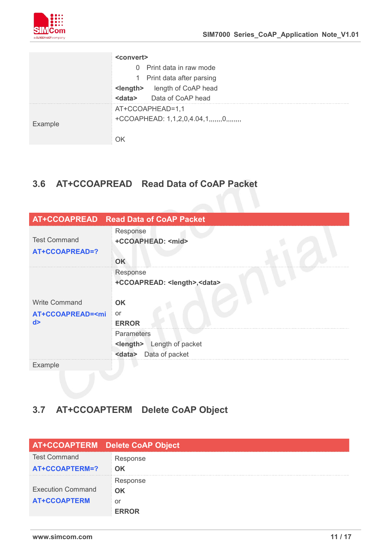

|         | <convert></convert>                   |
|---------|---------------------------------------|
|         | 0 Print data in raw mode              |
|         | 1 Print data after parsing            |
|         | <length> length of CoAP head</length> |
|         | Data of CoAP head<br>$<$ data $>$     |
|         | AT+CCOAPHEAD=1,1                      |
| Example | +CCOAPHEAD: $1,1,2,0,4.04,1,,0,,$     |
|         |                                       |

## <span id="page-10-0"></span>**3.6 AT+CCOAPREAD Read Data of CoAP Packet**

|                                                   | AT+CCOAPREAD Read Data of CoAP Packet       |
|---------------------------------------------------|---------------------------------------------|
|                                                   | Response                                    |
| <b>Test Command</b>                               | +CCOAPHEAD: <mid></mid>                     |
| AT+CCOAPREAD=?                                    |                                             |
|                                                   | OK                                          |
|                                                   | Response                                    |
|                                                   | +CCOAPREAD: <length>,<data></data></length> |
|                                                   |                                             |
| <b>Write Command</b>                              | <b>OK</b>                                   |
| AT+CCOAPREAD= <mi< td=""><td><b>or</b></td></mi<> | <b>or</b>                                   |
| d >                                               | <b>ERROR</b>                                |
|                                                   | Parameters                                  |
|                                                   | <length><br/>Length of packet</length>      |
|                                                   | Data of packet<br><data></data>             |
| Example                                           |                                             |

## <span id="page-10-1"></span>**3.7 AT+CCOAPTERM Delete CoAP Object**

|                          | AT+CCOAPTERM Delete CoAP Object |
|--------------------------|---------------------------------|
| <b>Test Command</b>      | Response                        |
| AT+CCOAPTERM=?           | <b>OK</b>                       |
|                          | Response                        |
| <b>Execution Command</b> | OK                              |
| <b>AT+CCOAPTERM</b>      | or                              |
|                          | <b>FRROR</b>                    |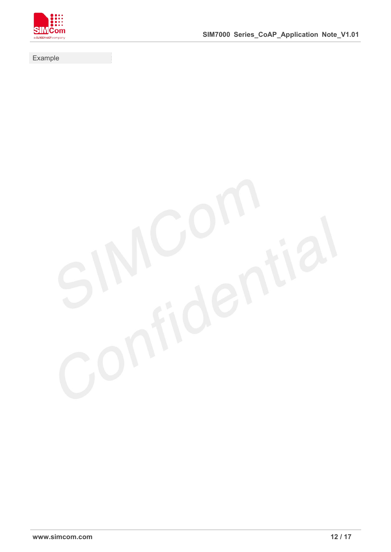

Example

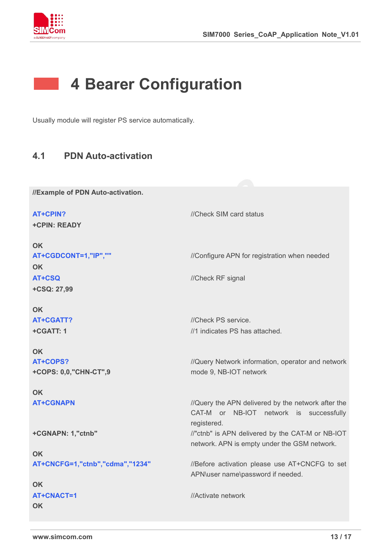

## <span id="page-12-0"></span>**4 Bearer Configuration**

Usually module will register PS service automatically.

## <span id="page-12-1"></span>**4.1 PDN Auto-activation**

**//Example of PDN Auto-activation.**

**AT+CPIN?** *//Check SIM card status* **+CPIN: READY OK AT+CGDCONT=1,"IP",""** //Configure APN for registration when needed **OK AT+CSQ** //Check RF signal **+CSQ: 27,99 OK AT+CGATT?** //Check PS service. **+CGATT: 1 OK** //1 indicates PS has attached. **AT+COPS? +COPS: 0,0,"CHN-CT",9 OK** //Query Network information, operator and network mode 9, NB-IOT network **AT+CGNAPN** *//Query the APN delivered by the network after the* CAT-M or NB-IOT network is successfully registered. **+CGNAPN: 1,"ctnb" OK** //"ctnb" is APN delivered by the CAT-M or NB-IOT network. APN is empty under the GSM network. **AT+CNCFG=1,"ctnb","cdma","1234"** //Before activation please use AT+CNCFG to set APN\user name\password if needed. **OK AT+CNACT=1 OK** //Activate network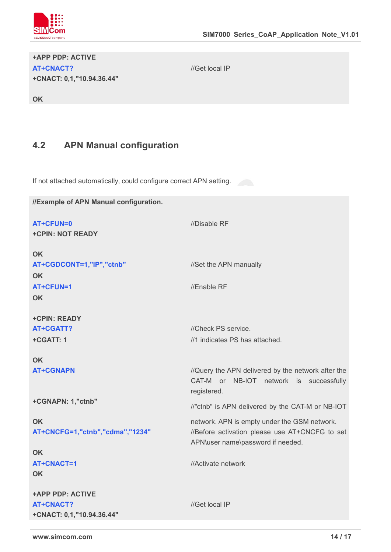

#### **+APP PDP: ACTIVE AT+CNACT? +CNACT: 0,1,"10.94.36.44"**

//Get local IP

**OK**

## <span id="page-13-0"></span>**4.2 APN Manual configuration**

If not attached automatically, could configure correct APN setting.

| //Example of APN Manual configuration. |                                                                                                              |
|----------------------------------------|--------------------------------------------------------------------------------------------------------------|
| AT+CFUN=0                              | //Disable RF                                                                                                 |
| <b>+CPIN: NOT READY</b>                |                                                                                                              |
| <b>OK</b>                              |                                                                                                              |
| AT+CGDCONT=1,"IP","ctnb"               | //Set the APN manually                                                                                       |
| <b>OK</b>                              |                                                                                                              |
| AT+CFUN=1                              | //Enable RF                                                                                                  |
| <b>OK</b>                              |                                                                                                              |
| +CPIN: READY                           |                                                                                                              |
| AT+CGATT?                              | //Check PS service.                                                                                          |
| +CGATT: 1                              | //1 indicates PS has attached.                                                                               |
| <b>OK</b>                              |                                                                                                              |
| <b>AT+CGNAPN</b>                       | //Query the APN delivered by the network after the<br>CAT-M or NB-IOT network is successfully<br>registered. |
| +CGNAPN: 1,"ctnb"                      | //"ctnb" is APN delivered by the CAT-M or NB-IOT                                                             |
| <b>OK</b>                              | network. APN is empty under the GSM network.                                                                 |
| AT+CNCFG=1,"ctnb","cdma","1234"        | //Before activation please use AT+CNCFG to set<br>APN\user name\password if needed.                          |
| <b>OK</b>                              |                                                                                                              |
| AT+CNACT=1                             | //Activate network                                                                                           |
| <b>OK</b>                              |                                                                                                              |
| <b>+APP PDP: ACTIVE</b>                |                                                                                                              |
| <b>AT+CNACT?</b>                       | //Get local IP                                                                                               |
| +CNACT: 0,1,"10.94.36.44"              |                                                                                                              |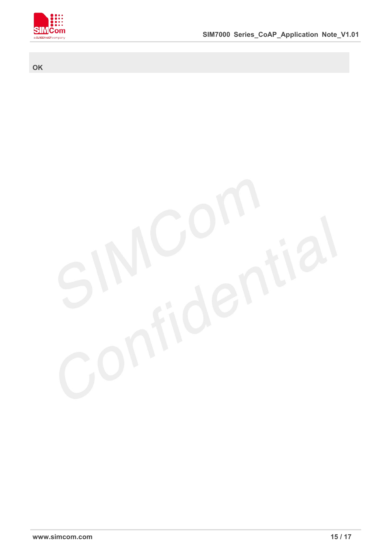

#### **OK**

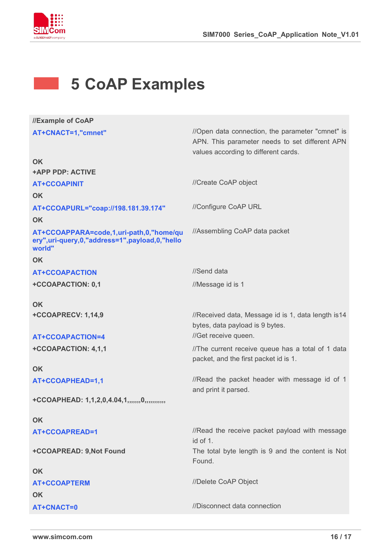

## <span id="page-15-0"></span>**5 CoAP Examples**

| //Example of CoAP                                                                                        |                                                                                                                                            |
|----------------------------------------------------------------------------------------------------------|--------------------------------------------------------------------------------------------------------------------------------------------|
| AT+CNACT=1,"cmnet"                                                                                       | //Open data connection, the parameter "cmnet" is<br>APN. This parameter needs to set different APN<br>values according to different cards. |
| <b>OK</b>                                                                                                |                                                                                                                                            |
| <b>+APP PDP: ACTIVE</b>                                                                                  |                                                                                                                                            |
| <b>AT+CCOAPINIT</b>                                                                                      | //Create CoAP object                                                                                                                       |
| <b>OK</b>                                                                                                |                                                                                                                                            |
| AT+CCOAPURL="coap://198.181.39.174"                                                                      | //Configure CoAP URL                                                                                                                       |
| <b>OK</b>                                                                                                |                                                                                                                                            |
| AT+CCOAPPARA=code,1,uri-path,0,"home/qu<br>ery", uri-query, 0, "address=1", payload, 0, "hello<br>world" | //Assembling CoAP data packet                                                                                                              |
| <b>OK</b>                                                                                                |                                                                                                                                            |
| <b>AT+CCOAPACTION</b>                                                                                    | //Send data                                                                                                                                |
| +CCOAPACTION: 0,1                                                                                        | //Message id is 1                                                                                                                          |
| <b>OK</b>                                                                                                |                                                                                                                                            |
| +CCOAPRECV: 1,14,9                                                                                       | //Received data, Message id is 1, data length is 14<br>bytes, data payload is 9 bytes.                                                     |
| AT+CCOAPACTION=4                                                                                         | //Get receive queen.                                                                                                                       |
| +CCOAPACTION: 4,1,1                                                                                      | //The current receive queue has a total of 1 data<br>packet, and the first packet id is 1.                                                 |
| <b>OK</b>                                                                                                |                                                                                                                                            |
| AT+CCOAPHEAD=1,1                                                                                         | //Read the packet header with message id of 1<br>and print it parsed.                                                                      |
| +CCOAPHEAD: 1,1,2,0,4.04,1,,,,,,,0,,,,,,,,,,,                                                            |                                                                                                                                            |
| <b>OK</b>                                                                                                |                                                                                                                                            |
| AT+CCOAPREAD=1                                                                                           | //Read the receive packet payload with message<br>id of 1.                                                                                 |
| +CCOAPREAD: 9, Not Found                                                                                 | The total byte length is 9 and the content is Not<br>Found.                                                                                |
| <b>OK</b>                                                                                                |                                                                                                                                            |
| <b>AT+CCOAPTERM</b>                                                                                      | //Delete CoAP Object                                                                                                                       |
| <b>OK</b>                                                                                                |                                                                                                                                            |
| <b>AT+CNACT=0</b>                                                                                        | //Disconnect data connection                                                                                                               |
|                                                                                                          |                                                                                                                                            |